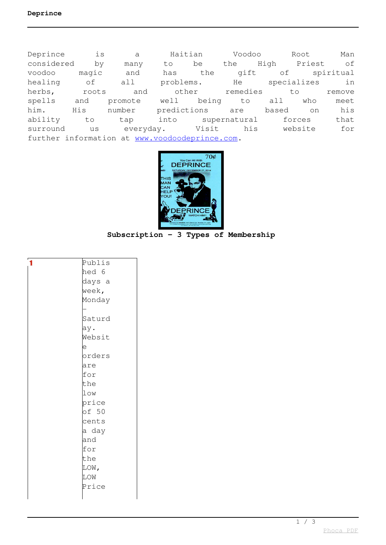Deprince is a Haitian Voodoo Root Man considered by many to be the High Priest of voodoo magic and has the gift of spiritual healing of all problems. He specializes in herbs, roots and other remedies to remove spells and promote well being to all who meet him. His number predictions are based on his ability to tap into supernatural forces that surround us everyday. Visit his website for further information at [www.voodoodeprince.com.](http://www.voodoodeprince.com)



**Subscription - 3 Types of Membership**

| 1 | Publis |
|---|--------|
|   | hed 6  |
|   | days a |
|   | week,  |
|   | Monday |
|   |        |
|   | Saturd |
|   | ay.    |
|   | Websit |
|   | e      |
|   | orders |
|   | are    |
|   | for    |
|   | the    |
|   | low    |
|   | price  |
|   | of 50  |
|   | cents  |
|   | a day  |
|   | and    |
|   | for    |
|   | the    |
|   | LOW,   |
|   | LOW    |
|   | Price  |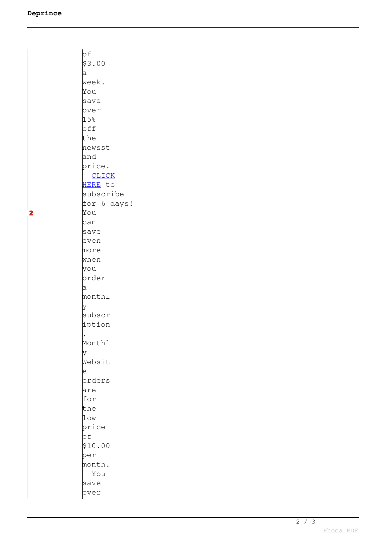|                | оf           |
|----------------|--------------|
|                | \$3.00       |
|                | a            |
|                | week.        |
|                | You          |
|                | save         |
|                | over         |
|                | 15%          |
|                | off          |
|                | the          |
|                | newsst       |
|                | and          |
|                | price.       |
|                | <b>CLICK</b> |
|                | HERE to      |
|                | subscribe    |
|                | for 6 days!  |
| $\overline{2}$ | You          |
|                | can          |
|                | save         |
|                | even         |
|                | more         |
|                | when         |
|                | you          |
|                | order        |
|                | a            |
|                | monthl       |
|                | У            |
|                | subscr       |
|                | iption       |
|                |              |
|                | Monthl       |
|                | У            |
|                | Websit       |
|                | е            |
|                | orders       |
|                | are          |
|                | for          |
|                | the          |
|                | low          |
|                | price        |
|                | of           |
|                | \$10.00      |
|                | per          |
|                | month.       |
|                | You          |
|                | save         |
|                | over         |
|                |              |